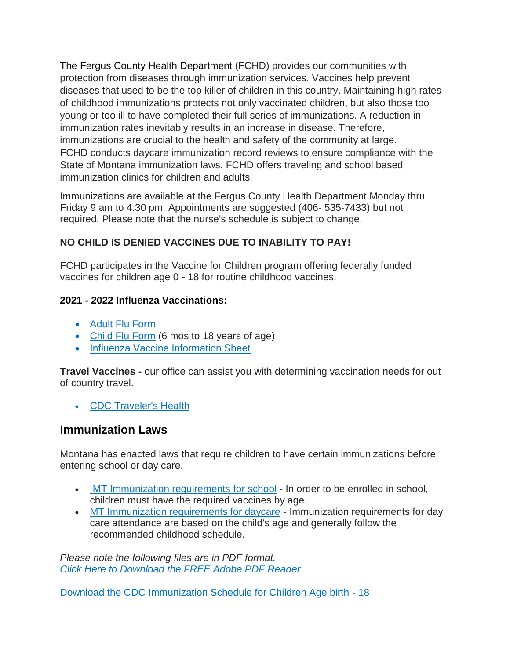The Fergus County Health Department (FCHD) provides our communities with protection from diseases through immunization services. Vaccines help prevent diseases that used to be the top killer of children in this country. Maintaining high rates of childhood immunizations protects not only vaccinated children, but also those too young or too ill to have completed their full series of immunizations. A reduction in immunization rates inevitably results in an increase in disease. Therefore, immunizations are crucial to the health and safety of the community at large. FCHD conducts daycare immunization record reviews to ensure compliance with the State of Montana immunization laws. FCHD offers traveling and school based immunization clinics for children and adults.

Immunizations are available at the Fergus County Health Department Monday thru Friday 9 am to 4:30 pm. Appointments are suggested (406- 535-7433) but not required. Please note that the nurse's schedule is subject to change.

## **NO CHILD IS DENIED VACCINES DUE TO INABILITY TO PAY!**

FCHD participates in the Vaccine for Children program offering federally funded vaccines for children age 0 - 18 for routine childhood vaccines.

## **2021 - 2022 Influenza Vaccinations:**

- [Adult Flu Form](https://co.fergus.mt.us/images/nurses/Adult_Flu_Sheet_2021.pdf)
- [Child Flu Form](https://co.fergus.mt.us/images/nurses/kids_sheet_Flu_2021.pdf) (6 mos to 18 years of age)
- [Influenza Vaccine Information Sheet](https://co.fergus.mt.us/images/nurses/VISFlu2021.pdf)

**Travel Vaccines -** our office can assist you with determining vaccination needs for out of country travel.

[CDC Traveler's Health](https://wwwnc.cdc.gov/travel/destinations/list)

## **Immunization Laws**

Montana has enacted laws that require children to have certain immunizations before entering school or day care.

- [MT Immunization requirements for school](https://co.fergus.mt.us/images/nurses/SchoolVaccineRequirementsAugust2019.pdf) In order to be enrolled in school, children must have the required vaccines by age.
- [MT Immunization requirements for daycare](chrome-extension://efaidnbmnnnibpcajpcglclefindmkaj/https://dphhs.mt.gov/assets/publichealth/Immunization/MTimmunizationRequirements2018.pdf) Immunization requirements for day care attendance are based on the child's age and generally follow the recommended childhood schedule.

*Please note the following files are in PDF format. [Click Here to Download the FREE Adobe PDF Reader](http://get.adobe.com/reader/)*

[Download the CDC Immunization Schedule for Children Age birth - 18](https://www.cdc.gov/vaccines/schedules/downloads/child/0-18yrs-child-combined-schedule.pdf)